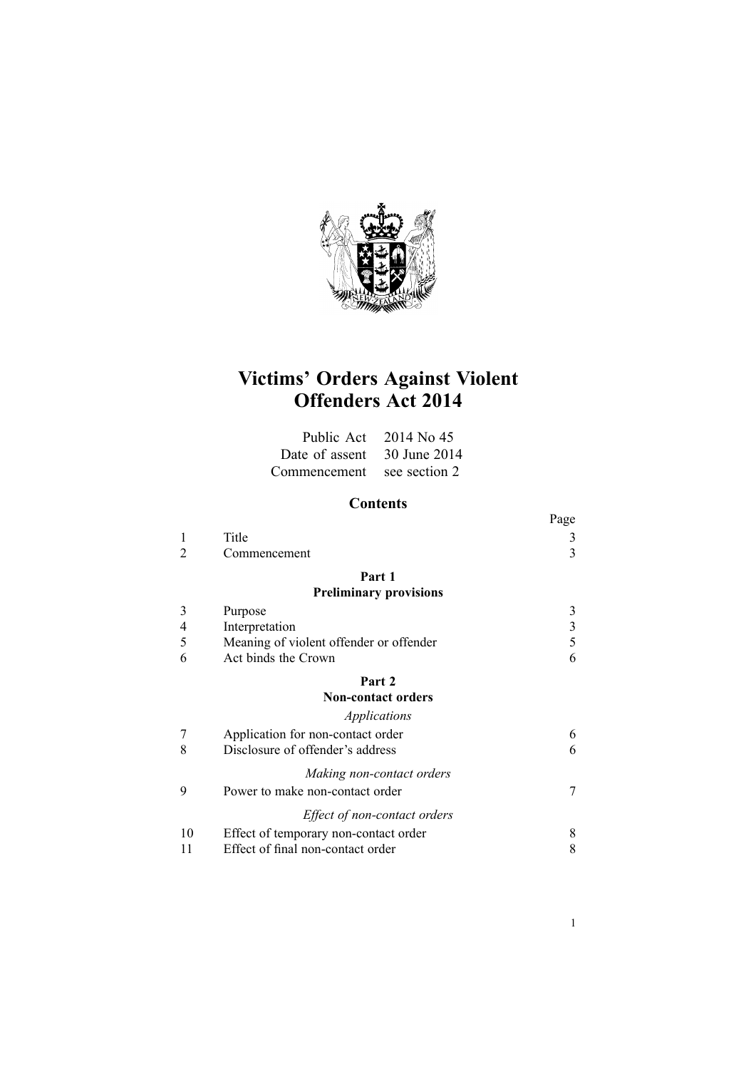

# **Victims' Orders Against Violent Offenders Act 2014**

|                             | Public Act $2014$ No 45 |
|-----------------------------|-------------------------|
| Date of assent 30 June 2014 |                         |
| Commencement see section 2  |                         |

# **Contents**

|                |                                         | Page |
|----------------|-----------------------------------------|------|
| 1              | Title                                   | 3    |
| 2              | Commencement                            | 3    |
|                | Part 1                                  |      |
|                | <b>Preliminary provisions</b>           |      |
| 3              | Purpose                                 | 3    |
| $\overline{4}$ | Interpretation                          | 3    |
| 5              | Meaning of violent offender or offender | 5    |
| 6              | Act binds the Crown                     | 6    |
|                | Part 2                                  |      |
|                | <b>Non-contact orders</b>               |      |
|                | Applications                            |      |
| 7              | Application for non-contact order       | 6    |
| 8              | Disclosure of offender's address        | 6    |
|                | Making non-contact orders               |      |
| 9              | Power to make non-contact order         | 7    |
|                | Effect of non-contact orders            |      |
| 10             | Effect of temporary non-contact order   | 8    |
| 11             | Effect of final non-contact order       | 8    |
|                |                                         |      |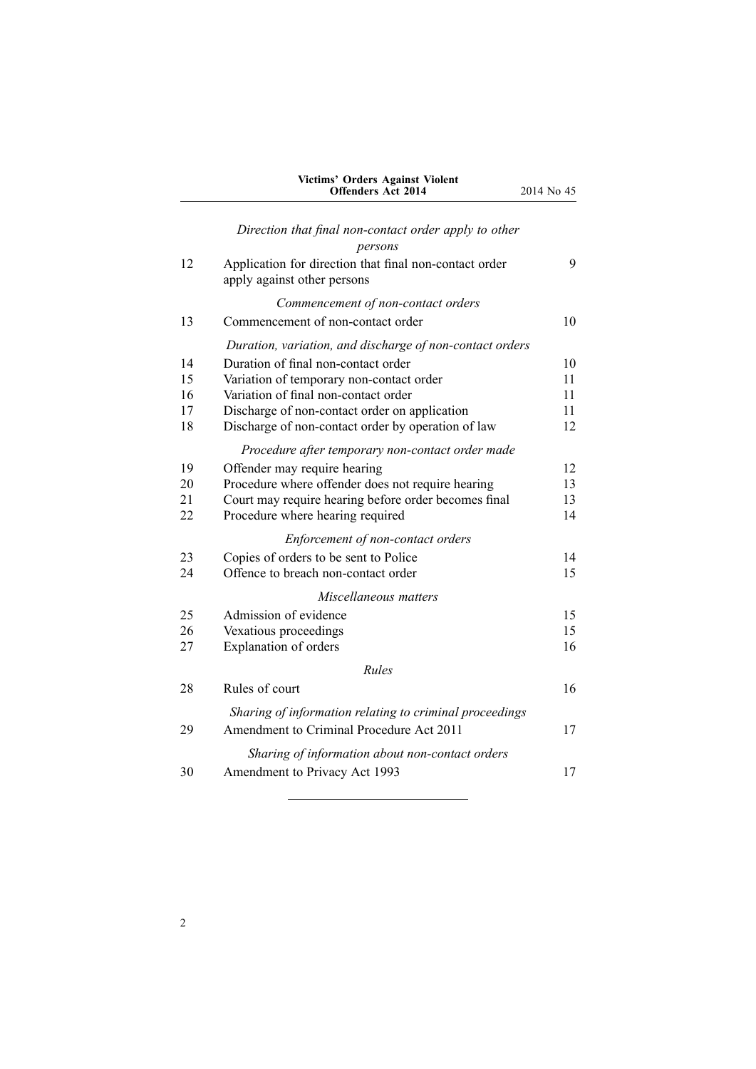| Victims' Orders Against Violent |                           |  |
|---------------------------------|---------------------------|--|
|                                 | <b>Offenders Act 2014</b> |  |

*Direction that final [non-contact](#page-8-0) order apply to other*

|    | persons                                                                               |    |
|----|---------------------------------------------------------------------------------------|----|
| 12 | Application for direction that final non-contact order<br>apply against other persons | 9  |
|    |                                                                                       |    |
|    | Commencement of non-contact orders                                                    |    |
| 13 | Commencement of non-contact order                                                     | 10 |
|    | Duration, variation, and discharge of non-contact orders                              |    |
| 14 | Duration of final non-contact order                                                   | 10 |
| 15 | Variation of temporary non-contact order                                              | 11 |
| 16 | Variation of final non-contact order                                                  | 11 |
| 17 | Discharge of non-contact order on application                                         | 11 |
| 18 | Discharge of non-contact order by operation of law                                    | 12 |
|    | Procedure after temporary non-contact order made                                      |    |
| 19 | Offender may require hearing                                                          | 12 |
| 20 | Procedure where offender does not require hearing                                     | 13 |
| 21 | Court may require hearing before order becomes final                                  | 13 |
| 22 | Procedure where hearing required                                                      | 14 |
|    | Enforcement of non-contact orders                                                     |    |
| 23 | Copies of orders to be sent to Police                                                 | 14 |
| 24 | Offence to breach non-contact order                                                   | 15 |
|    | Miscellaneous matters                                                                 |    |
| 25 | Admission of evidence                                                                 | 15 |
| 26 | Vexatious proceedings                                                                 | 15 |
| 27 | Explanation of orders                                                                 | 16 |
|    | <b>Rules</b>                                                                          |    |
| 28 | Rules of court                                                                        | 16 |
|    | Sharing of information relating to criminal proceedings                               |    |
| 29 | Amendment to Criminal Procedure Act 2011                                              | 17 |
|    | Sharing of information about non-contact orders                                       |    |
| 30 | Amendment to Privacy Act 1993                                                         | 17 |
|    |                                                                                       |    |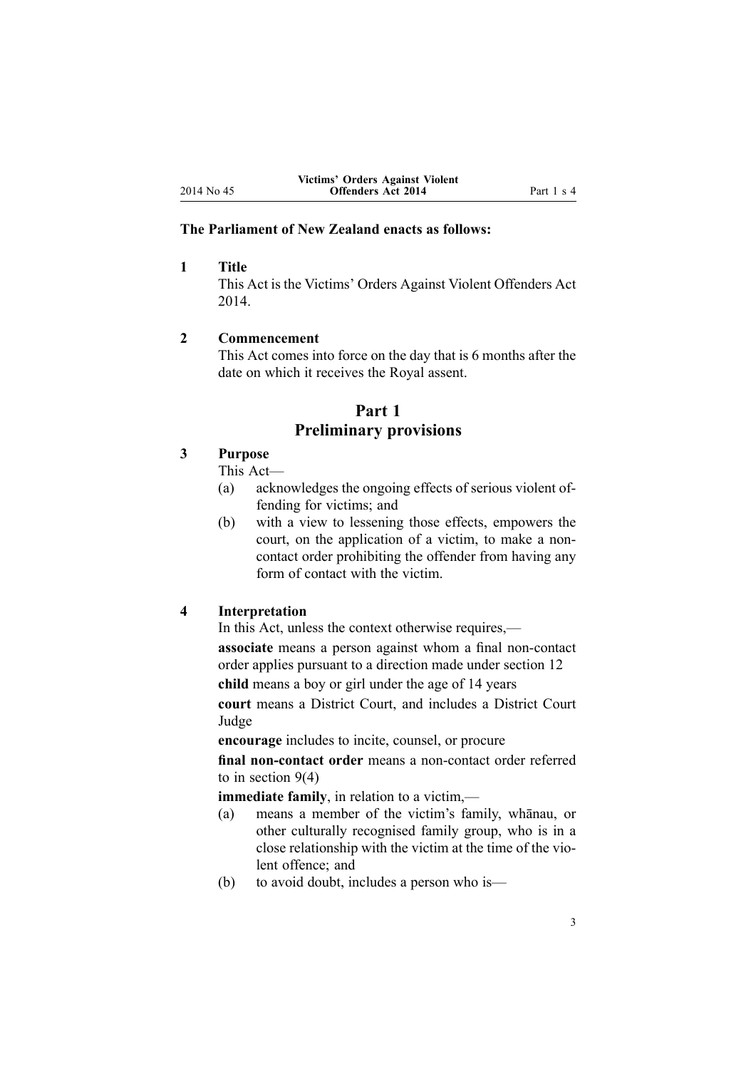## <span id="page-2-0"></span>**The Parliament of New Zealand enacts as follows:**

# **1 Title**

This Act is the Victims' Orders Against Violent Offenders Act 2014.

#### **2 Commencement**

This Act comes into force on the day that is 6 months after the date on which it receives the Royal assent.

# **Part 1 Preliminary provisions**

# **3 Purpose**

This Act—

- (a) acknowledges the ongoing effects of serious violent offending for victims; and
- (b) with <sup>a</sup> view to lessening those effects, empowers the court, on the application of <sup>a</sup> victim, to make <sup>a</sup> noncontact order prohibiting the offender from having any form of contact with the victim.

#### **4 Interpretation**

In this Act, unless the context otherwise requires, **associate** means <sup>a</sup> person against whom <sup>a</sup> final non-contact order applies pursuan<sup>t</sup> to <sup>a</sup> direction made under [section](#page-8-0) 12

**child** means <sup>a</sup> boy or girl under the age of 14 years

**court** means <sup>a</sup> District Court, and includes <sup>a</sup> District Court Judge

**encourage** includes to incite, counsel, or procure

**final non-contact order** means <sup>a</sup> non-contact order referred to in [section](#page-6-0) 9(4)

**immediate family**, in relation to <sup>a</sup> victim,—

- (a) means <sup>a</sup> member of the victim's family, whānau, or other culturally recognised family group, who is in <sup>a</sup> close relationship with the victim at the time of the violent offence; and
- (b) to avoid doubt, includes <sup>a</sup> person who is—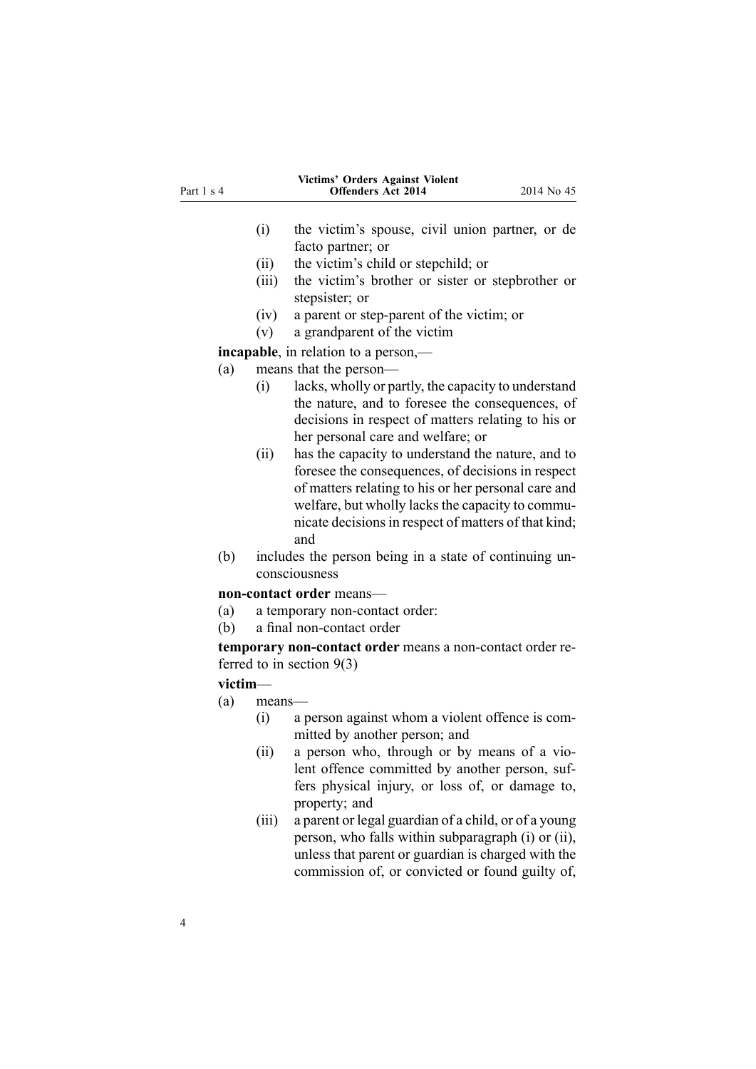| Part 1 s 4 |             | Victims' Orders Against Violent<br><b>Offenders Act 2014</b>                                                                                                                                                                                                                     | 2014 No 45 |
|------------|-------------|----------------------------------------------------------------------------------------------------------------------------------------------------------------------------------------------------------------------------------------------------------------------------------|------------|
|            |             |                                                                                                                                                                                                                                                                                  |            |
|            | (i)         | the victim's spouse, civil union partner, or de                                                                                                                                                                                                                                  |            |
|            |             | facto partner; or                                                                                                                                                                                                                                                                |            |
|            | (ii)        | the victim's child or stepchild; or                                                                                                                                                                                                                                              |            |
|            | (iii)       | the victim's brother or sister or stepbrother or<br>stepsister; or                                                                                                                                                                                                               |            |
|            | (iv)        | a parent or step-parent of the victim; or                                                                                                                                                                                                                                        |            |
|            | (v)         | a grandparent of the victim                                                                                                                                                                                                                                                      |            |
|            |             | <b>incapable</b> , in relation to a person,—                                                                                                                                                                                                                                     |            |
| (a)        |             | means that the person-                                                                                                                                                                                                                                                           |            |
|            | (i)         | lacks, wholly or partly, the capacity to understand<br>the nature, and to foresee the consequences, of<br>decisions in respect of matters relating to his or<br>her personal care and welfare; or                                                                                |            |
|            | (ii)        | has the capacity to understand the nature, and to<br>foresee the consequences, of decisions in respect<br>of matters relating to his or her personal care and<br>welfare, but wholly lacks the capacity to commu-<br>nicate decisions in respect of matters of that kind;<br>and |            |
| (b)        |             | includes the person being in a state of continuing un-<br>consciousness                                                                                                                                                                                                          |            |
|            |             | non-contact order means-                                                                                                                                                                                                                                                         |            |
| (a)        |             | a temporary non-contact order:                                                                                                                                                                                                                                                   |            |
| (b)        |             | a final non-contact order                                                                                                                                                                                                                                                        |            |
|            |             | temporary non-contact order means a non-contact order re-<br>ferred to in section $9(3)$                                                                                                                                                                                         |            |
|            | victim-     |                                                                                                                                                                                                                                                                                  |            |
| (a)        | means-      |                                                                                                                                                                                                                                                                                  |            |
|            | (i)<br>(ii) | a person against whom a violent offence is com-<br>mitted by another person; and<br>a person who, through or by means of a vio-                                                                                                                                                  |            |
|            |             | lent offence committed by another person, suf-<br>fers physical injury, or loss of, or damage to,<br>property; and                                                                                                                                                               |            |

(iii) <sup>a</sup> paren<sup>t</sup> or legal guardian of <sup>a</sup> child, or of <sup>a</sup> young person, who falls within subparagraph (i) or (ii), unless that paren<sup>t</sup> or guardian is charged with the commission of, or convicted or found guilty of,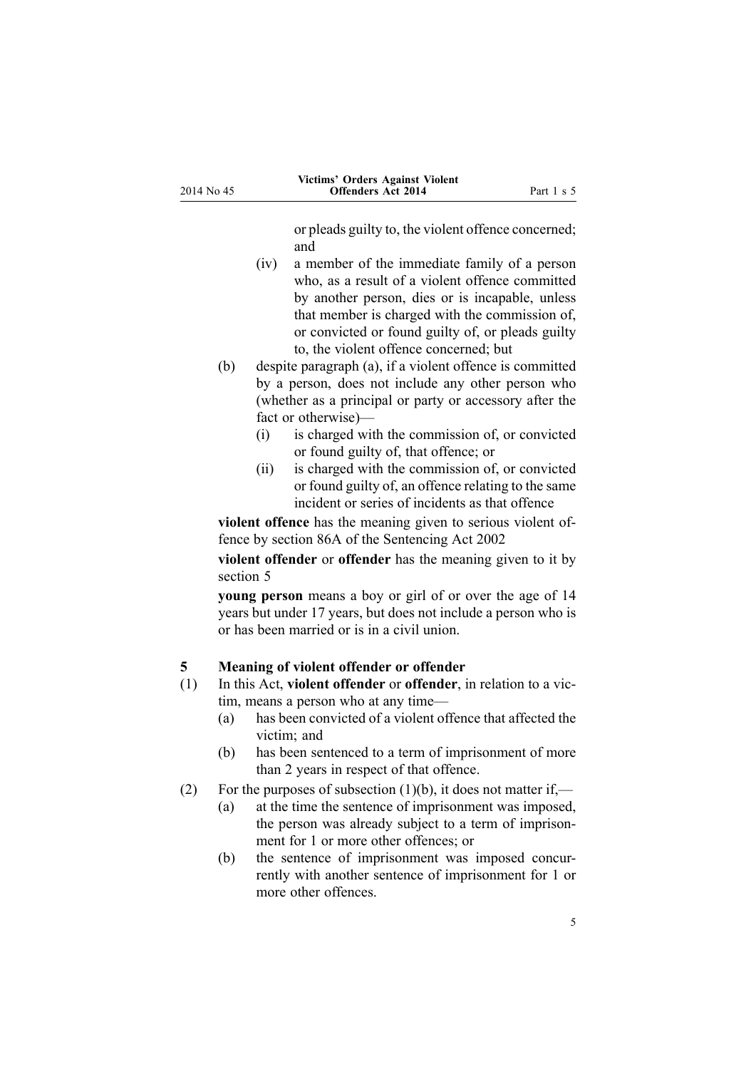or pleads guilty to, the violent offence concerned; and

- <span id="page-4-0"></span>(iv) <sup>a</sup> member of the immediate family of <sup>a</sup> person who, as <sup>a</sup> result of <sup>a</sup> violent offence committed by another person, dies or is incapable, unless that member is charged with the commission of, or convicted or found guilty of, or pleads guilty to, the violent offence concerned; but
- (b) despite paragraph (a), if <sup>a</sup> violent offence is committed by <sup>a</sup> person, does not include any other person who (whether as <sup>a</sup> principal or party or accessory after the fact or otherwise)—
	- (i) is charged with the commission of, or convicted or found guilty of, that offence; or
	- (ii) is charged with the commission of, or convicted or found guilty of, an offence relating to the same incident or series of incidents as that offence

**violent offence** has the meaning given to serious violent offence by [section](http://prd-lgnz-nlb.prd.pco.net.nz/pdflink.aspx?id=DLM3023002) 86A of the Sentencing Act 2002

**violent offender** or **offender** has the meaning given to it by section 5

**young person** means <sup>a</sup> boy or girl of or over the age of 14 years but under 17 years, but does not include <sup>a</sup> person who is or has been married or is in <sup>a</sup> civil union.

# **5 Meaning of violent offender or offender**

- (1) In this Act, **violent offender** or **offender**, in relation to <sup>a</sup> victim, means <sup>a</sup> person who at any time—
	- (a) has been convicted of <sup>a</sup> violent offence that affected the victim; and
	- (b) has been sentenced to <sup>a</sup> term of imprisonment of more than 2 years in respec<sup>t</sup> of that offence.
- (2) For the purposes of subsection  $(1)(b)$ , it does not matter if,—
	- (a) at the time the sentence of imprisonment was imposed, the person was already subject to <sup>a</sup> term of imprisonment for 1 or more other offences; or
	- (b) the sentence of imprisonment was imposed concurrently with another sentence of imprisonment for 1 or more other offences.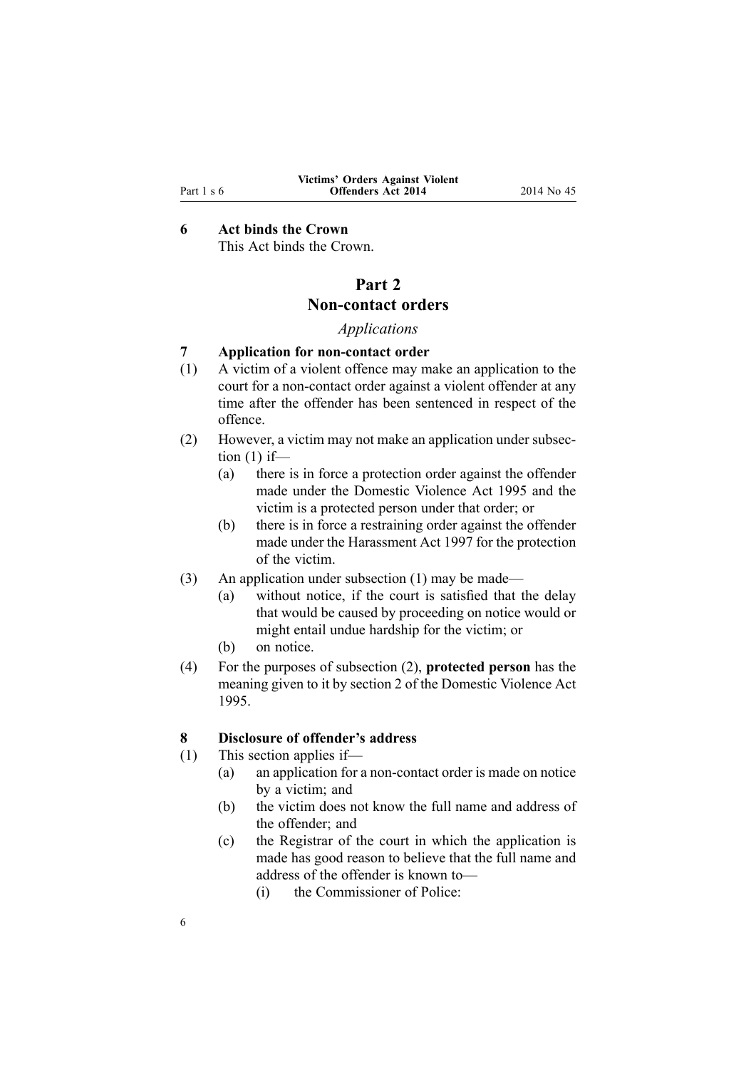# <span id="page-5-0"></span>**6 Act binds the Crown**

This Act binds the Crown.

# **Part 2 Non-contact orders**

# *Applications*

## **7 Application for non-contact order**

- (1) A victim of <sup>a</sup> violent offence may make an application to the court for <sup>a</sup> non-contact order against <sup>a</sup> violent offender at any time after the offender has been sentenced in respec<sup>t</sup> of the offence.
- (2) However, <sup>a</sup> victim may not make an application under subsection  $(1)$  if-
	- (a) there is in force <sup>a</sup> protection order against the offender made under the [Domestic](http://prd-lgnz-nlb.prd.pco.net.nz/pdflink.aspx?id=DLM371925) Violence Act 1995 and the victim is <sup>a</sup> protected person under that order; or
	- (b) there is in force <sup>a</sup> restraining order against the offender made under the [Harassment](http://prd-lgnz-nlb.prd.pco.net.nz/pdflink.aspx?id=DLM417077) Act 1997 for the protection of the victim.
- (3) An application under subsection (1) may be made—
	- (a) without notice, if the court is satisfied that the delay that would be caused by proceeding on notice would or might entail undue hardship for the victim; or
	- (b) on notice.
- (4) For the purposes of subsection (2), **protected person** has the meaning given to it by [section](http://prd-lgnz-nlb.prd.pco.net.nz/pdflink.aspx?id=DLM371932) 2 of the Domestic Violence Act 1995.

#### **8 Disclosure of offender's address**

(1) This section applies if—

- (a) an application for <sup>a</sup> non-contact order is made on notice by <sup>a</sup> victim; and
- (b) the victim does not know the full name and address of the offender; and
- (c) the Registrar of the court in which the application is made has good reason to believe that the full name and address of the offender is known to—
	- (i) the Commissioner of Police: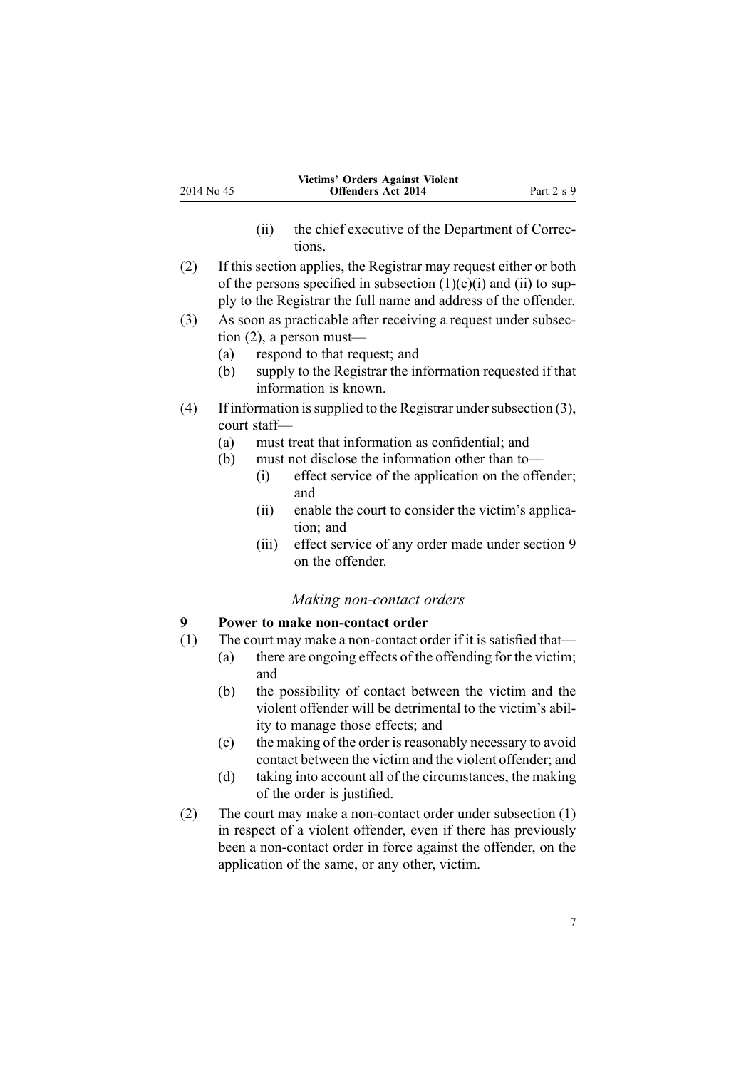- (ii) the chief executive of the Department of Corrections.
- <span id="page-6-0"></span>(2) If this section applies, the Registrar may reques<sup>t</sup> either or both of the persons specified in subsection  $(1)(c)(i)$  and  $(ii)$  to supply to the Registrar the full name and address of the offender.
- (3) As soon as practicable after receiving <sup>a</sup> reques<sup>t</sup> under subsection (2), <sup>a</sup> person must—
	- (a) respond to that request; and
	- (b) supply to the Registrar the information requested if that information is known.
- (4) If information is supplied to the Registrar under subsection  $(3)$ , court staff—
	- (a) must treat that information as confidential; and
	- (b) must not disclose the information other than to—
		- (i) effect service of the application on the offender; and
		- (ii) enable the court to consider the victim's application; and
		- (iii) effect service of any order made under section 9 on the offender.

# *Making non-contact orders*

# **9 Power to make non-contact order**

- (1) The court may make <sup>a</sup> non-contact order if it is satisfied that—
	- (a) there are ongoing effects of the offending for the victim; and
	- (b) the possibility of contact between the victim and the violent offender will be detrimental to the victim's ability to manage those effects; and
	- (c) the making of the order isreasonably necessary to avoid contact between the victim and the violent offender; and
	- (d) taking into account all of the circumstances, the making of the order is justified.
- (2) The court may make <sup>a</sup> non-contact order under subsection (1) in respec<sup>t</sup> of <sup>a</sup> violent offender, even if there has previously been <sup>a</sup> non-contact order in force against the offender, on the application of the same, or any other, victim.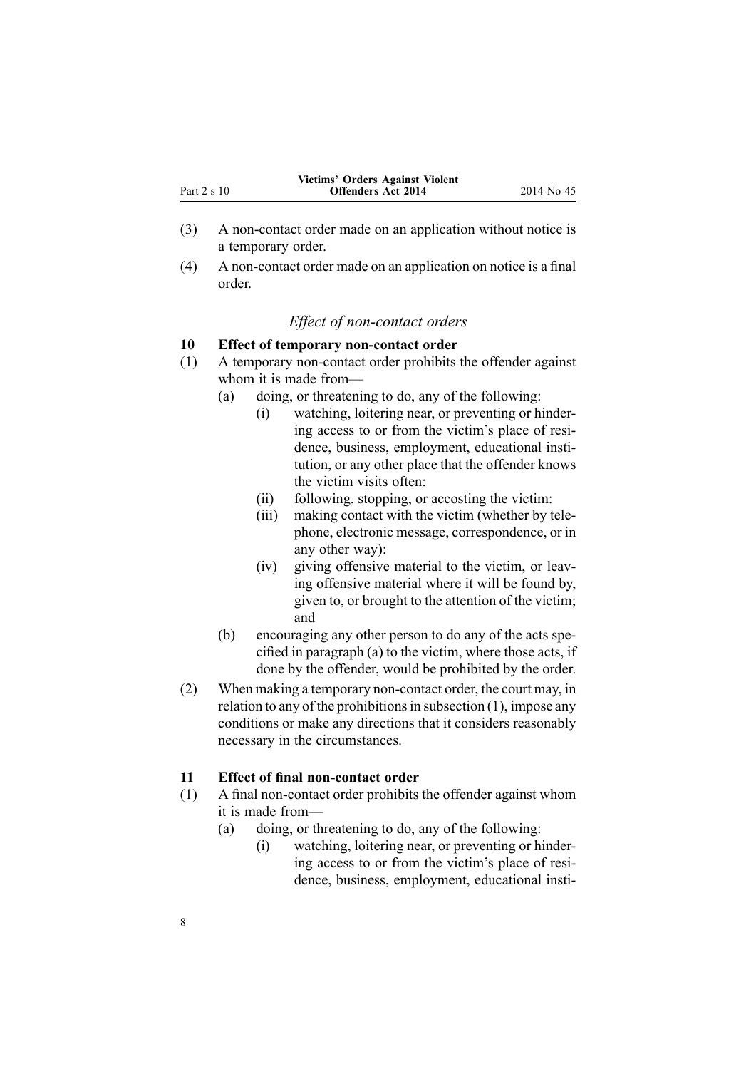<span id="page-7-0"></span>

|             | Victims' Orders Against Violent |             |
|-------------|---------------------------------|-------------|
| Part 2 s 10 | <b>Offenders Act 2014</b>       | 2014 No. 45 |

- (3) A non-contact order made on an application without notice is <sup>a</sup> temporary order.
- (4) A non-contact order made on an application on notice is <sup>a</sup> final order.

# *Effect of non-contact orders*

#### **10 Effect of temporary non-contact order**

- (1) A temporary non-contact order prohibits the offender against whom it is made from—
	- (a) doing, or threatening to do, any of the following:
		- (i) watching, loitering near, or preventing or hindering access to or from the victim's place of residence, business, employment, educational institution, or any other place that the offender knows the victim visits often:
		- (ii) following, stopping, or accosting the victim:
		- (iii) making contact with the victim (whether by telephone, electronic message, correspondence, or in any other way):
		- (iv) giving offensive material to the victim, or leaving offensive material where it will be found by, given to, or brought to the attention of the victim; and
	- (b) encouraging any other person to do any of the acts specified in paragraph (a) to the victim, where those acts, if done by the offender, would be prohibited by the order.
- (2) When making <sup>a</sup> temporary non-contact order, the court may, in relation to any of the prohibitions in subsection  $(1)$ , impose any conditions or make any directions that it considers reasonably necessary in the circumstances.

## **11 Effect of final non-contact order**

- (1) A final non-contact order prohibits the offender against whom it is made from—
	- (a) doing, or threatening to do, any of the following:
		- (i) watching, loitering near, or preventing or hindering access to or from the victim's place of residence, business, employment, educational insti-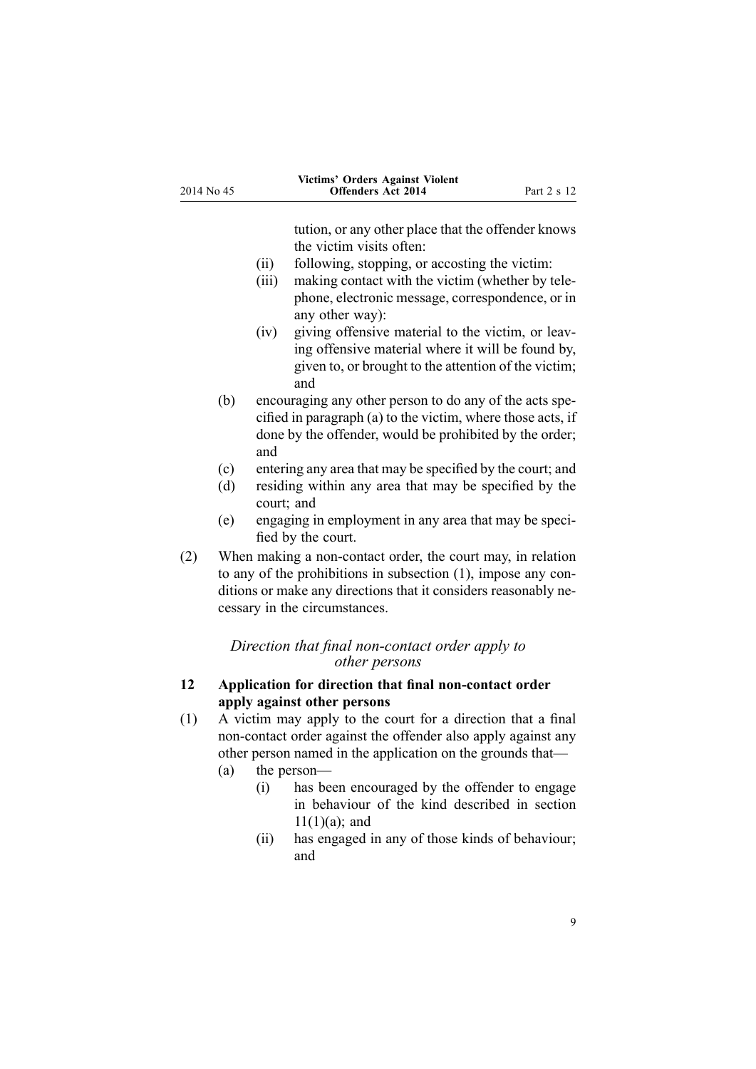<span id="page-8-0"></span>

| 2014 No 45 |                   | Victims' Orders Against Violent<br><b>Offenders Act 2014</b>                                                                                                                                                                                                                                                                                                                                                                                                 | Part 2 s 12 |
|------------|-------------------|--------------------------------------------------------------------------------------------------------------------------------------------------------------------------------------------------------------------------------------------------------------------------------------------------------------------------------------------------------------------------------------------------------------------------------------------------------------|-------------|
|            |                   | tution, or any other place that the offender knows<br>the victim visits often:<br>(ii)<br>following, stopping, or accosting the victim:<br>making contact with the victim (whether by tele-<br>(iii)<br>phone, electronic message, correspondence, or in<br>any other way):<br>giving offensive material to the victim, or leav-<br>(iv)<br>ing offensive material where it will be found by,<br>given to, or brought to the attention of the victim;<br>and |             |
|            | (b)               | encouraging any other person to do any of the acts spe-<br>cified in paragraph (a) to the victim, where those acts, if<br>done by the offender, would be prohibited by the order;<br>and                                                                                                                                                                                                                                                                     |             |
|            | (c)<br>(d)<br>(e) | entering any area that may be specified by the court; and<br>residing within any area that may be specified by the<br>court; and<br>engaging in employment in any area that may be speci-                                                                                                                                                                                                                                                                    |             |
| (2)        |                   | fied by the court.<br>When making a non-contact order, the court may, in relation<br>to any of the prohibitions in subsection (1), impose any con-<br>ditions or make any directions that it considers reasonably ne-<br>cessary in the circumstances.                                                                                                                                                                                                       |             |
|            |                   | Direction that final non-contact order apply to<br>other persons                                                                                                                                                                                                                                                                                                                                                                                             |             |
| 12         |                   | Application for direction that final non-contact order<br>apply against other persons                                                                                                                                                                                                                                                                                                                                                                        |             |
| (1)        | (a)               | A victim may apply to the court for a direction that a final<br>non-contact order against the offender also apply against any<br>other person named in the application on the grounds that—<br>the person-                                                                                                                                                                                                                                                   |             |

- (i) has been encouraged by the offender to engage in behaviour of the kind described in [section](#page-7-0) [11\(1\)\(a\)](#page-7-0); and
- (ii) has engaged in any of those kinds of behaviour; and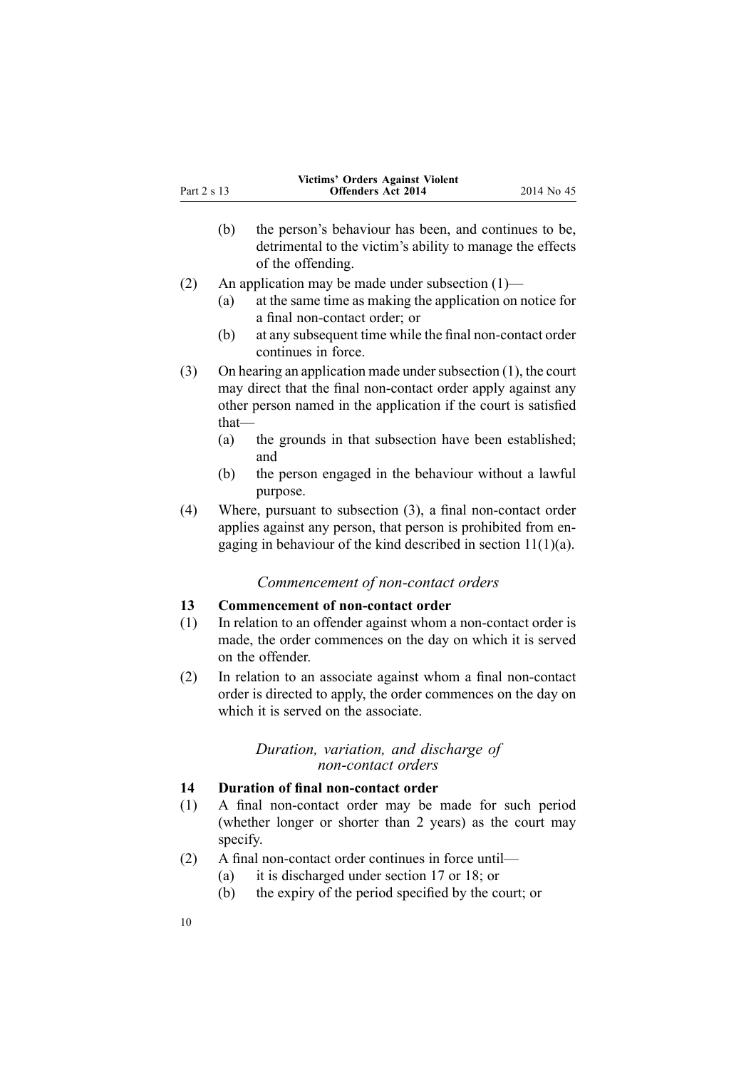<span id="page-9-0"></span>

|             | Victims' Orders Against Violent |            |
|-------------|---------------------------------|------------|
| Part 2 s 13 | <b>Offenders Act 2014</b>       | 2014 No 45 |

- (b) the person's behaviour has been, and continues to be, detrimental to the victim's ability to manage the effects of the offending.
- (2) An application may be made under subsection (1)—
	- (a) at the same time as making the application on notice for <sup>a</sup> final non-contact order; or
	- (b) at any subsequent time while the final non-contact order continues in force.
- (3) On hearing an application made under subsection  $(1)$ , the court may direct that the final non-contact order apply against any other person named in the application if the court is satisfied that—
	- (a) the grounds in that subsection have been established; and
	- (b) the person engaged in the behaviour without <sup>a</sup> lawful purpose.
- (4) Where, pursuan<sup>t</sup> to subsection (3), <sup>a</sup> final non-contact order applies against any person, that person is prohibited from engaging in behaviour of the kind described in section [11\(1\)\(a\)](#page-7-0).

# *Commencement of non-contact orders*

# **13 Commencement of non-contact order**

- (1) In relation to an offender against whom <sup>a</sup> non-contact order is made, the order commences on the day on which it is served on the offender.
- (2) In relation to an associate against whom <sup>a</sup> final non-contact order is directed to apply, the order commences on the day on which it is served on the associate.

## *Duration, variation, and discharge of non-contact orders*

# **14 Duration of final non-contact order**

- (1) A final non-contact order may be made for such period (whether longer or shorter than 2 years) as the court may specify.
- (2) A final non-contact order continues in force until—
	- (a) it is discharged under [section](#page-10-0) 17 or [18](#page-11-0); or
	- (b) the expiry of the period specified by the court; or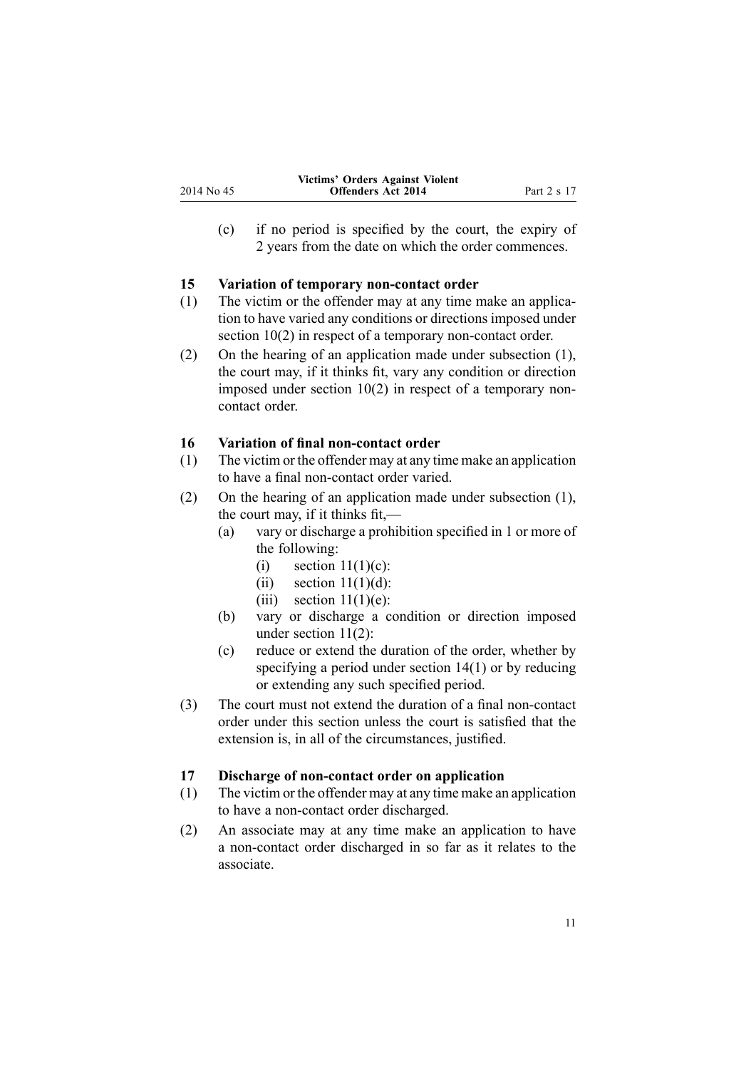<span id="page-10-0"></span>(c) if no period is specified by the court, the expiry of 2 years from the date on which the order commences.

# **15 Variation of temporary non-contact order**

- (1) The victim or the offender may at any time make an application to have varied any conditions or directions imposed under [section](#page-7-0) 10(2) in respect of a temporary non-contact order.
- (2) On the hearing of an application made under subsection (1), the court may, if it thinks fit, vary any condition or direction imposed under [section](#page-7-0) 10(2) in respec<sup>t</sup> of <sup>a</sup> temporary noncontact order.

# **16 Variation of final non-contact order**

- (1) The victim or the offender may at any time make an application to have <sup>a</sup> final non-contact order varied.
- (2) On the hearing of an application made under subsection (1), the court may, if it thinks fit,—
	- (a) vary or discharge <sup>a</sup> prohibition specified in 1 or more of the following:
		- (i) section  $11(1)(c)$ :
		- (ii) section  $11(1)(d)$ :
		- (iii) section  $11(1)(e)$ :
	- (b) vary or discharge <sup>a</sup> condition or direction imposed under [section](#page-7-0) 11(2):
	- (c) reduce or extend the duration of the order, whether by specifying <sup>a</sup> period under [section](#page-9-0) 14(1) or by reducing or extending any such specified period.
- (3) The court must not extend the duration of <sup>a</sup> final non-contact order under this section unless the court is satisfied that the extension is, in all of the circumstances, justified.

#### **17 Discharge of non-contact order on application**

- (1) The victim or the offender may at any time make an application to have <sup>a</sup> non-contact order discharged.
- (2) An associate may at any time make an application to have <sup>a</sup> non-contact order discharged in so far as it relates to the associate.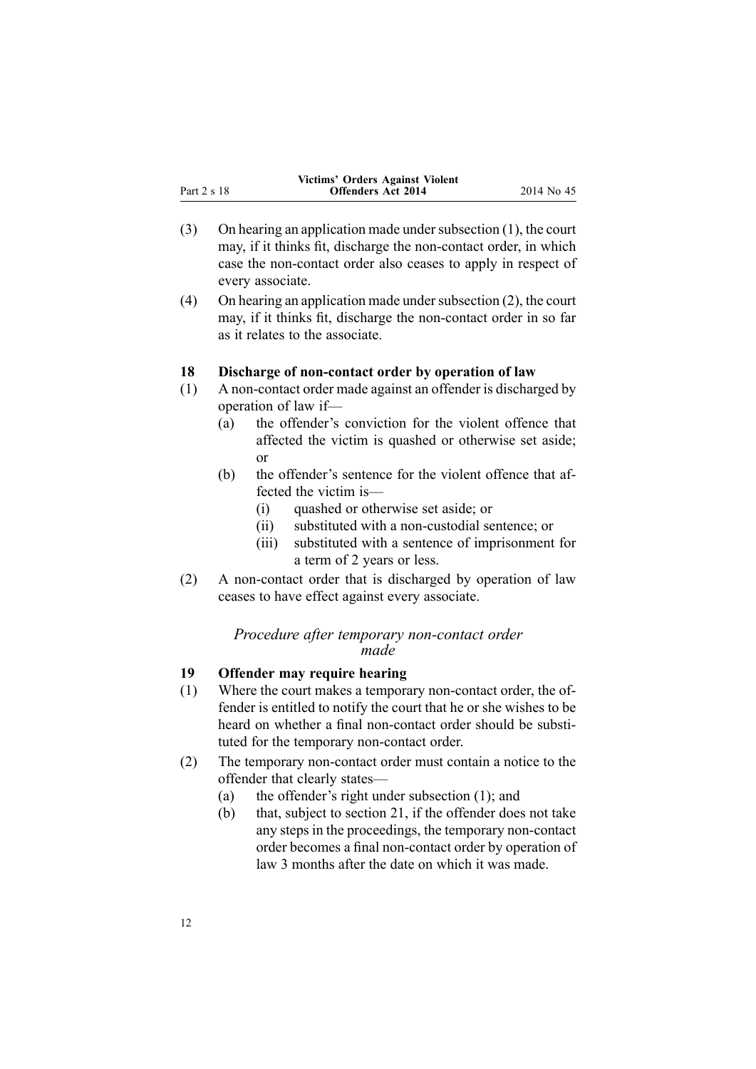<span id="page-11-0"></span>

|             | Victims' Orders Against Violent |             |
|-------------|---------------------------------|-------------|
| Part 2 s 18 | <b>Offenders Act 2014</b>       | 2014 No. 45 |

- (3) On hearing an application made under subsection  $(1)$ , the court may, if it thinks fit, discharge the non-contact order, in which case the non-contact order also ceases to apply in respec<sup>t</sup> of every associate.
- (4) On hearing an application made under subsection  $(2)$ , the court may, if it thinks fit, discharge the non-contact order in so far as it relates to the associate.

# **18 Discharge of non-contact order by operation of law**

- (1) A non-contact order made against an offender is discharged by operation of law if—
	- (a) the offender's conviction for the violent offence that affected the victim is quashed or otherwise set aside; or
	- (b) the offender's sentence for the violent offence that affected the victim is—
		- (i) quashed or otherwise set aside; or
		- (ii) substituted with <sup>a</sup> non-custodial sentence; or
		- (iii) substituted with <sup>a</sup> sentence of imprisonment for <sup>a</sup> term of 2 years or less.
- (2) A non-contact order that is discharged by operation of law ceases to have effect against every associate.

# *Procedure after temporary non-contact order made*

# **19 Offender may require hearing**

- (1) Where the court makes <sup>a</sup> temporary non-contact order, the offender is entitled to notify the court that he or she wishes to be heard on whether <sup>a</sup> final non-contact order should be substituted for the temporary non-contact order.
- (2) The temporary non-contact order must contain <sup>a</sup> notice to the offender that clearly states—
	- (a) the offender's right under subsection (1); and
	- (b) that, subject to [section](#page-12-0) 21, if the offender does not take any steps in the proceedings, the temporary non-contact order becomes <sup>a</sup> final non-contact order by operation of law 3 months after the date on which it was made.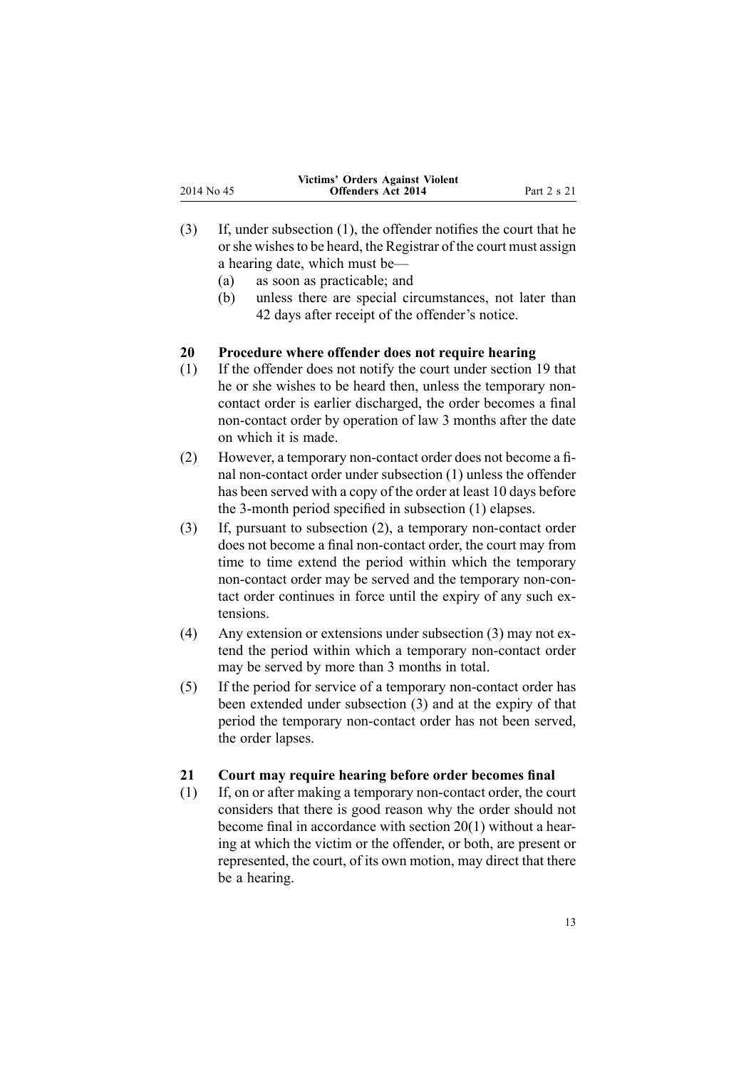<span id="page-12-0"></span>

|             | <b>Victims' Orders Against Violent</b> |             |
|-------------|----------------------------------------|-------------|
| 2014 No. 45 | <b>Offenders Act 2014</b>              | Part 2 s 21 |

- (3) If, under subsection (1), the offender notifies the court that he orshe wishesto be heard, the Registrar of the court must assign <sup>a</sup> hearing date, which must be—
	- (a) as soon as practicable; and
	- (b) unless there are special circumstances, not later than 42 days after receipt of the offender's notice.

# **20 Procedure where offender does not require hearing**

- (1) If the offender does not notify the court under [section](#page-11-0) 19 that he or she wishes to be heard then, unless the temporary noncontact order is earlier discharged, the order becomes <sup>a</sup> final non-contact order by operation of law 3 months after the date on which it is made.
- (2) However, <sup>a</sup> temporary non-contact order does not become <sup>a</sup> final non-contact order under subsection (1) unless the offender has been served with <sup>a</sup> copy of the order at least 10 days before the 3-month period specified in subsection (1) elapses.
- (3) If, pursuan<sup>t</sup> to subsection (2), <sup>a</sup> temporary non-contact order does not become <sup>a</sup> final non-contact order, the court may from time to time extend the period within which the temporary non-contact order may be served and the temporary non-contact order continues in force until the expiry of any such extensions.
- (4) Any extension or extensions under subsection (3) may not extend the period within which <sup>a</sup> temporary non-contact order may be served by more than 3 months in total.
- (5) If the period for service of <sup>a</sup> temporary non-contact order has been extended under subsection (3) and at the expiry of that period the temporary non-contact order has not been served, the order lapses.

# **21 Court may require hearing before order becomes final**

(1) If, on or after making <sup>a</sup> temporary non-contact order, the court considers that there is good reason why the order should not become final in accordance with section 20(1) without <sup>a</sup> hearing at which the victim or the offender, or both, are presen<sup>t</sup> or represented, the court, of its own motion, may direct that there be <sup>a</sup> hearing.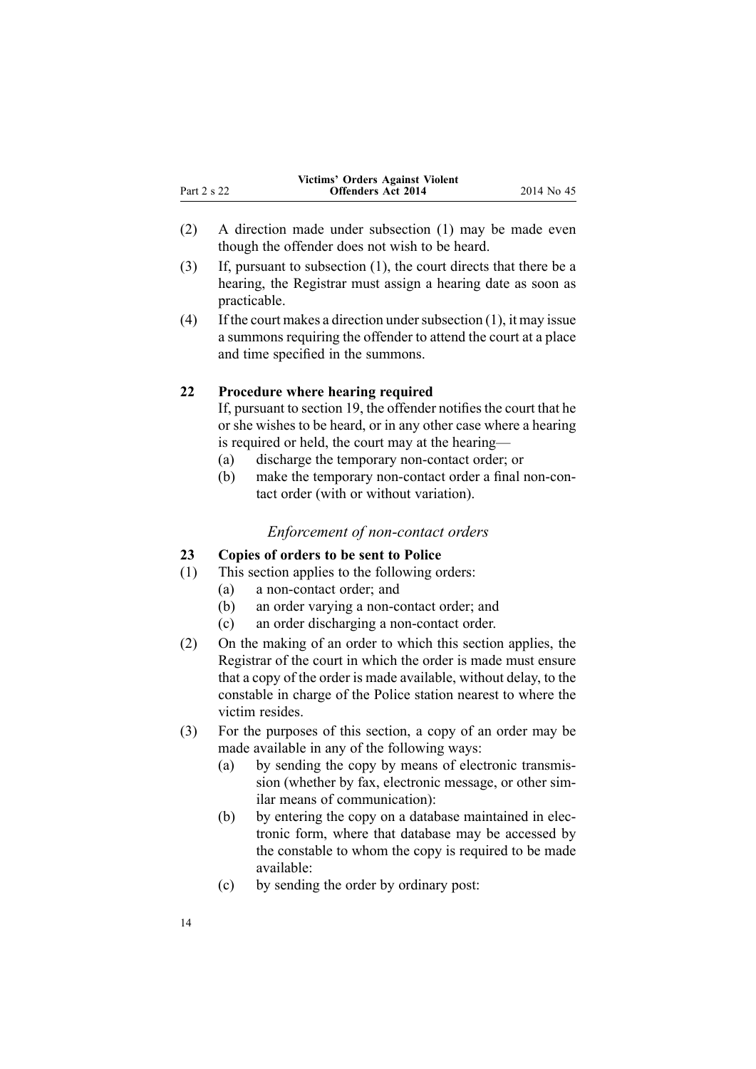<span id="page-13-0"></span>

|             | Victims' Orders Against Violent |            |
|-------------|---------------------------------|------------|
| Part 2 s 22 | <b>Offenders Act 2014</b>       | 2014 No 45 |

- (2) A direction made under subsection (1) may be made even though the offender does not wish to be heard.
- (3) If, pursuan<sup>t</sup> to subsection (1), the court directs that there be <sup>a</sup> hearing, the Registrar must assign <sup>a</sup> hearing date as soon as practicable.
- (4) If the court makes a direction under subsection  $(1)$ , it may issue <sup>a</sup> summons requiring the offender to attend the court at <sup>a</sup> place and time specified in the summons.

#### **22 Procedure where hearing required**

If, pursuant to [section](#page-11-0) 19, the offender notifies the court that he or she wishes to be heard, or in any other case where <sup>a</sup> hearing is required or held, the court may at the hearing—

- (a) discharge the temporary non-contact order; or
- (b) make the temporary non-contact order <sup>a</sup> final non-contact order (with or without variation).

#### *Enforcement of non-contact orders*

# **23 Copies of orders to be sent to Police**

- (1) This section applies to the following orders:
	- (a) <sup>a</sup> non-contact order; and
	- (b) an order varying <sup>a</sup> non-contact order; and
	- (c) an order discharging <sup>a</sup> non-contact order.
- (2) On the making of an order to which this section applies, the Registrar of the court in which the order is made must ensure that <sup>a</sup> copy of the order is made available, without delay, to the constable in charge of the Police station nearest to where the victim resides.
- (3) For the purposes of this section, <sup>a</sup> copy of an order may be made available in any of the following ways:
	- (a) by sending the copy by means of electronic transmission (whether by fax, electronic message, or other similar means of communication):
	- (b) by entering the copy on <sup>a</sup> database maintained in electronic form, where that database may be accessed by the constable to whom the copy is required to be made available:
	- (c) by sending the order by ordinary post: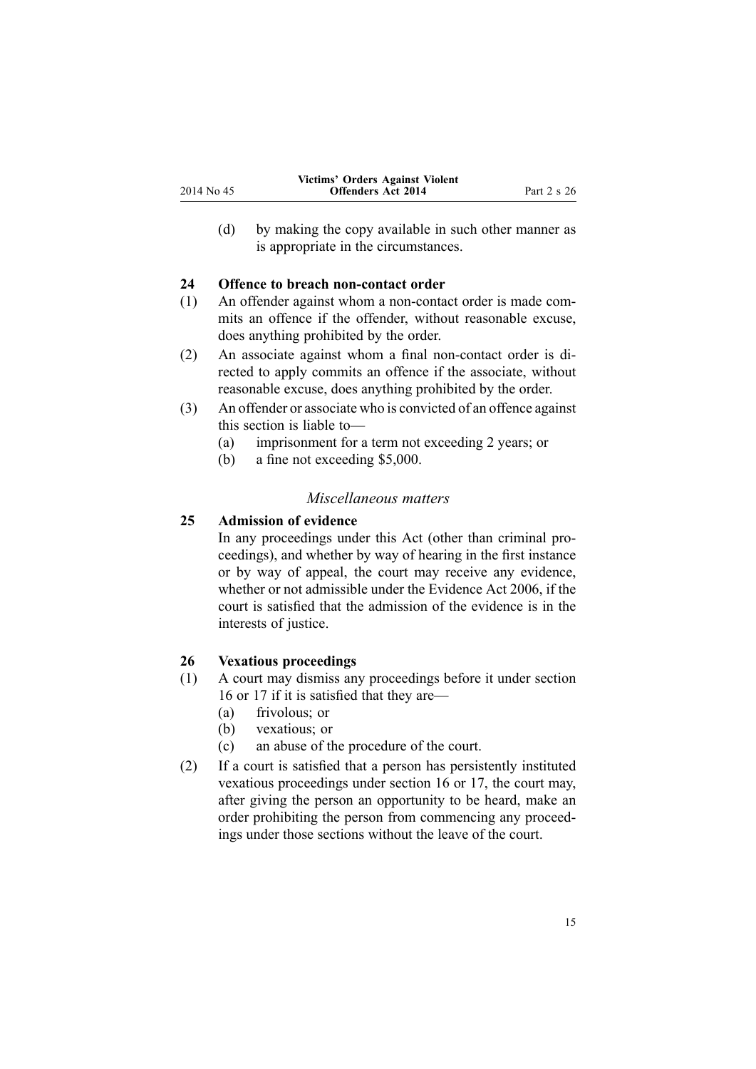<span id="page-14-0"></span>(d) by making the copy available in such other manner as is appropriate in the circumstances.

# **24 Offence to breach non-contact order**

- (1) An offender against whom <sup>a</sup> non-contact order is made commits an offence if the offender, without reasonable excuse, does anything prohibited by the order.
- (2) An associate against whom <sup>a</sup> final non-contact order is directed to apply commits an offence if the associate, without reasonable excuse, does anything prohibited by the order.
- (3) An offender or associate who is convicted of an offence against this section is liable to—
	- (a) imprisonment for <sup>a</sup> term not exceeding 2 years; or
	- (b) <sup>a</sup> fine not exceeding \$5,000.

# *Miscellaneous matters*

# **25 Admission of evidence**

In any proceedings under this Act (other than criminal proceedings), and whether by way of hearing in the first instance or by way of appeal, the court may receive any evidence, whether or not admissible under the [Evidence](http://prd-lgnz-nlb.prd.pco.net.nz/pdflink.aspx?id=DLM393462) Act 2006, if the court is satisfied that the admission of the evidence is in the interests of justice.

# **26 Vexatious proceedings**

- (1) A court may dismiss any proceedings before it under [section](#page-10-0) [16](#page-10-0) or [17](#page-10-0) if it is satisfied that they are—
	- (a) frivolous; or
	- (b) vexatious; or
	- (c) an abuse of the procedure of the court.
- (2) If <sup>a</sup> court is satisfied that <sup>a</sup> person has persistently instituted vexatious proceedings under [section](#page-10-0) 16 or [17](#page-10-0), the court may, after giving the person an opportunity to be heard, make an order prohibiting the person from commencing any proceedings under those sections without the leave of the court.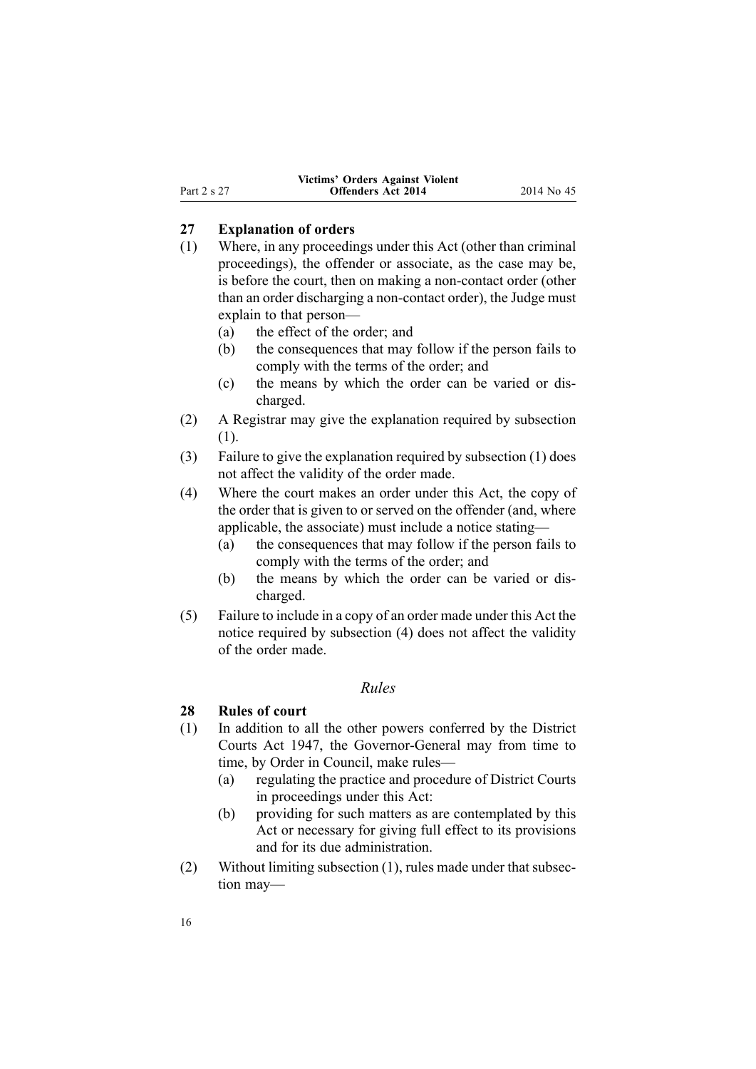# <span id="page-15-0"></span>**27 Explanation of orders**

- (1) Where, in any proceedings under this Act (other than criminal proceedings), the offender or associate, as the case may be, is before the court, then on making <sup>a</sup> non-contact order (other than an order discharging <sup>a</sup> non-contact order), the Judge must explain to that person—
	- (a) the effect of the order; and
	- (b) the consequences that may follow if the person fails to comply with the terms of the order; and
	- (c) the means by which the order can be varied or discharged.
- (2) A Registrar may give the explanation required by subsection (1).
- (3) Failure to give the explanation required by subsection (1) does not affect the validity of the order made.
- (4) Where the court makes an order under this Act, the copy of the order that is given to or served on the offender (and, where applicable, the associate) must include <sup>a</sup> notice stating—
	- (a) the consequences that may follow if the person fails to comply with the terms of the order; and
	- (b) the means by which the order can be varied or discharged.
- (5) Failure to include in <sup>a</sup> copy of an order made under this Act the notice required by subsection (4) does not affect the validity of the order made.

# *Rules*

# **28 Rules of court**

- (1) In addition to all the other powers conferred by the [District](http://prd-lgnz-nlb.prd.pco.net.nz/pdflink.aspx?id=DLM242775) [Courts](http://prd-lgnz-nlb.prd.pco.net.nz/pdflink.aspx?id=DLM242775) Act 1947, the Governor-General may from time to time, by Order in Council, make rules—
	- (a) regulating the practice and procedure of District Courts in proceedings under this Act:
	- (b) providing for such matters as are contemplated by this Act or necessary for giving full effect to its provisions and for its due administration.
- (2) Without limiting subsection (1), rules made under that subsection may—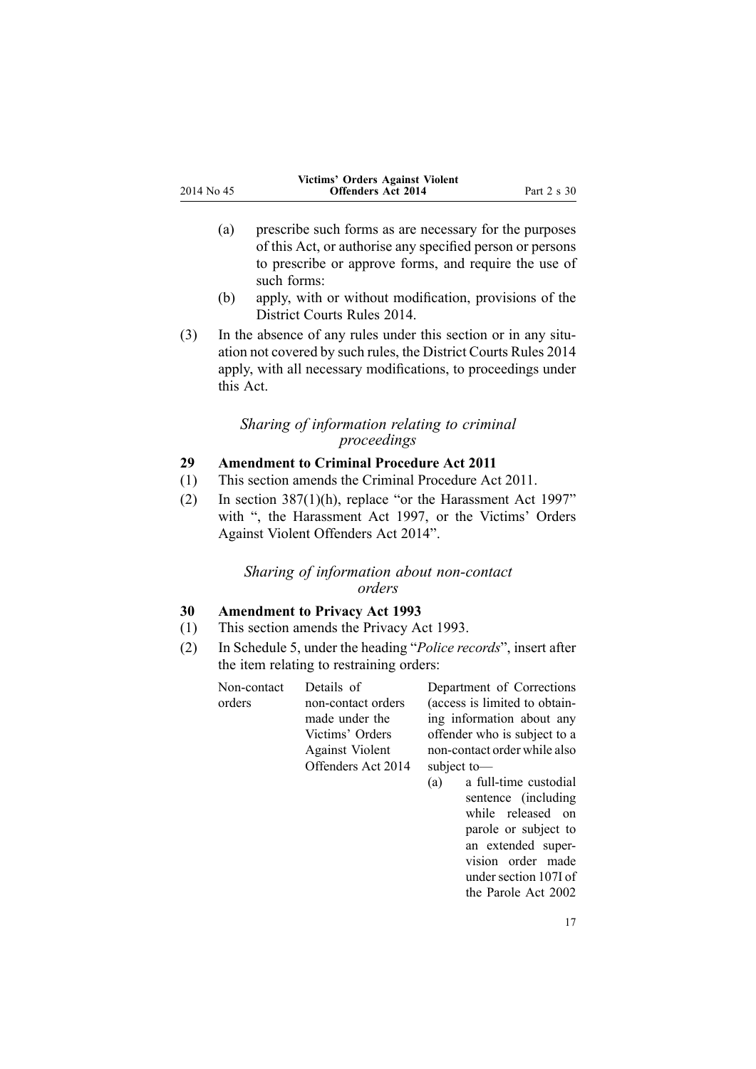<span id="page-16-0"></span>

|             | Victims' Orders Against Violent |             |
|-------------|---------------------------------|-------------|
| 2014 No. 45 | <b>Offenders Act 2014</b>       | Part 2 s 30 |

- (a) prescribe such forms as are necessary for the purposes of this Act, or authorise any specified person or persons to prescribe or approve forms, and require the use of such forms:
- (b) apply, with or without modification, provisions of the [District](http://prd-lgnz-nlb.prd.pco.net.nz/pdflink.aspx?id=DLM6129566) Courts Rules 2014.
- (3) In the absence of any rules under this section or in any situation not covered by such rules, the [District](http://prd-lgnz-nlb.prd.pco.net.nz/pdflink.aspx?id=DLM6129566) Courts Rules 2014 apply, with all necessary modifications, to proceedings under this Act.

# *Sharing of information relating to criminal proceedings*

# **29 Amendment to Criminal Procedure Act 2011**

- (1) This section amends the Criminal [Procedure](http://prd-lgnz-nlb.prd.pco.net.nz/pdflink.aspx?id=DLM3359902) Act 2011.
- (2) In section [387\(1\)\(h\)](http://prd-lgnz-nlb.prd.pco.net.nz/pdflink.aspx?id=DLM3360606), replace "or the Harassment Act 1997" with ", the Harassment Act 1997, or the Victims' Orders Against Violent Offenders Act 2014".

# *Sharing of information about non-contact orders*

# **30 Amendment to Privacy Act 1993**

- (1) This section amends the [Privacy](http://prd-lgnz-nlb.prd.pco.net.nz/pdflink.aspx?id=DLM296638) Act 1993.
- (2) In [Schedule](http://prd-lgnz-nlb.prd.pco.net.nz/pdflink.aspx?id=DLM298798) 5, under the heading "*Police records*", insert after the item relating to restraining orders:

| Non-contact | Details of             | Department of Corrections     |
|-------------|------------------------|-------------------------------|
| orders      | non-contact orders     | (access is limited to obtain- |
|             | made under the         | ing information about any     |
|             | Victims' Orders        | offender who is subject to a  |
|             | <b>Against Violent</b> | non-contact order while also  |
|             | Offenders Act 2014     | subject to-                   |
|             |                        | $(a)$ a full-time custodial   |

(a) <sup>a</sup> full-time custodial sentence (including while released on parole or subject to an extended supervision order made under section 107I of the Parole Act 2002